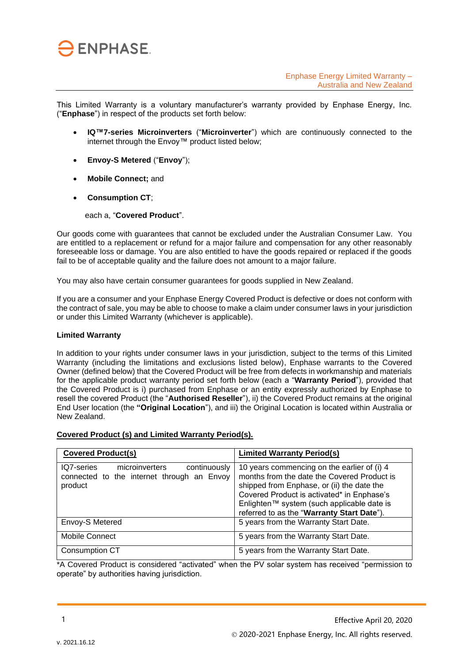

This Limited Warranty is a voluntary manufacturer's warranty provided by Enphase Energy, Inc. ("**Enphase**") in respect of the products set forth below:

- internet through the Envoy™ product listed below; • **IQ™7-series Microinverters** ("**Microinverter**") which are continuously connected to the
	- **Envoy-S Metered** ("**Envoy**");
	- **Mobile Connect;** and
	- **Consumption CT**;

each a, "**Covered Product**".

Our goods come with guarantees that cannot be excluded under the Australian Consumer Law. You are entitled to a replacement or refund for a major failure and compensation for any other reasonably foreseeable loss or damage. You are also entitled to have the goods repaired or replaced if the goods fail to be of acceptable quality and the failure does not amount to a major failure.

You may also have certain consumer guarantees for goods supplied in New Zealand.

If you are a consumer and your Enphase Energy Covered Product is defective or does not conform with the contract of sale, you may be able to choose to make a claim under consumer laws in your jurisdiction or under this Limited Warranty (whichever is applicable).

## **Limited Warranty**

In addition to your rights under consumer laws in your jurisdiction, subject to the terms of this Limited Warranty (including the limitations and exclusions listed below), Enphase warrants to the Covered Owner (defined below) that the Covered Product will be free from defects in workmanship and materials for the applicable product warranty period set forth below (each a "**Warranty Period**"), provided that the Covered Product is i) purchased from Enphase or an entity expressly authorized by Enphase to resell the covered Product (the "**Authorised Reseller**"), ii) the Covered Product remains at the original End User location (the **"Original Location**"), and iii) the Original Location is located within Australia or New Zealand.

| Covered Product (s) and Limited Warranty Period(s). |
|-----------------------------------------------------|
|-----------------------------------------------------|

| <b>Covered Product(s)</b>                                                                             | <b>Limited Warranty Period(s)</b>                                                                                                                                                                                                                                                  |
|-------------------------------------------------------------------------------------------------------|------------------------------------------------------------------------------------------------------------------------------------------------------------------------------------------------------------------------------------------------------------------------------------|
| IQ7-series<br>microinverters<br>continuously<br>connected to the internet through an Envoy<br>product | 10 years commencing on the earlier of (i) 4<br>months from the date the Covered Product is<br>shipped from Enphase, or (ii) the date the<br>Covered Product is activated* in Enphase's<br>Enlighten™ system (such applicable date is<br>referred to as the "Warranty Start Date"). |
| Envoy-S Metered                                                                                       | 5 years from the Warranty Start Date.                                                                                                                                                                                                                                              |
| Mobile Connect                                                                                        | 5 years from the Warranty Start Date.                                                                                                                                                                                                                                              |
| <b>Consumption CT</b>                                                                                 | 5 years from the Warranty Start Date.                                                                                                                                                                                                                                              |

\*A Covered Product is considered "activated" when the PV solar system has received "permission to operate" by authorities having jurisdiction.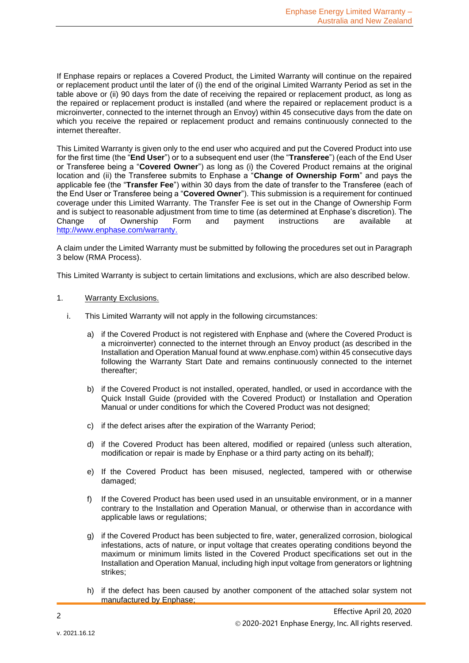If Enphase repairs or replaces a Covered Product, the Limited Warranty will continue on the repaired or replacement product until the later of (i) the end of the original Limited Warranty Period as set in the table above or (ii) 90 days from the date of receiving the repaired or replacement product, as long as the repaired or replacement product is installed (and where the repaired or replacement product is a microinverter, connected to the internet through an Envoy) within 45 consecutive days from the date on which you receive the repaired or replacement product and remains continuously connected to the internet thereafter.

This Limited Warranty is given only to the end user who acquired and put the Covered Product into use for the first time (the "**End User**") or to a subsequent end user (the "**Transferee**") (each of the End User or Transferee being a "**Covered Owner**") as long as (i) the Covered Product remains at the original location and (ii) the Transferee submits to Enphase a "**Change of Ownership Form**" and pays the applicable fee (the "**Transfer Fee**") within 30 days from the date of transfer to the Transferee (each of the End User or Transferee being a "**Covered Owner**"). This submission is a requirement for continued coverage under this Limited Warranty. The Transfer Fee is set out in the Change of Ownership Form and is subject to reasonable adjustment from time to time (as determined at Enphase's discretion). The Change of Ownership Form and payment instructions are available at [http://www.enphase.com/warranty.](http://www.enphase.com/warranty)

A claim under the Limited Warranty must be submitted by following the procedures set out in Paragraph 3 below (RMA Process).

This Limited Warranty is subject to certain limitations and exclusions, which are also described below.

- 1. Warranty Exclusions.
	- i. This Limited Warranty will not apply in the following circumstances:
		- a) if the Covered Product is not registered with Enphase and (where the Covered Product is a microinverter) connected to the internet through an Envoy product (as described in the Installation and Operation Manual found at www.enphase.com) within 45 consecutive days following the Warranty Start Date and remains continuously connected to the internet thereafter;
		- b) if the Covered Product is not installed, operated, handled, or used in accordance with the Quick Install Guide (provided with the Covered Product) or Installation and Operation Manual or under conditions for which the Covered Product was not designed;
		- c) if the defect arises after the expiration of the Warranty Period;
		- d) if the Covered Product has been altered, modified or repaired (unless such alteration, modification or repair is made by Enphase or a third party acting on its behalf);
		- e) If the Covered Product has been misused, neglected, tampered with or otherwise damaged;
		- f) If the Covered Product has been used used in an unsuitable environment, or in a manner contrary to the Installation and Operation Manual, or otherwise than in accordance with applicable laws or regulations;
		- g) if the Covered Product has been subjected to fire, water, generalized corrosion, biological infestations, acts of nature, or input voltage that creates operating conditions beyond the maximum or minimum limits listed in the Covered Product specifications set out in the Installation and Operation Manual, including high input voltage from generators or lightning strikes;
		- h) if the defect has been caused by another component of the attached solar system not manufactured by Enphase;

2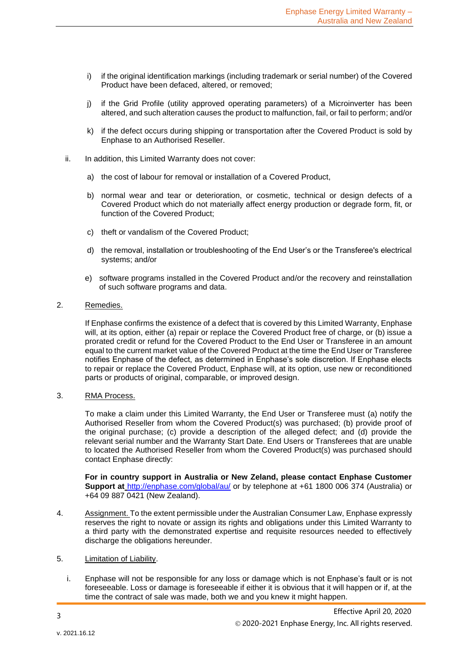- i) if the original identification markings (including trademark or serial number) of the Covered Product have been defaced, altered, or removed;
- j) if the Grid Profile (utility approved operating parameters) of a Microinverter has been altered, and such alteration causes the product to malfunction, fail, or fail to perform; and/or
- k) if the defect occurs during shipping or transportation after the Covered Product is sold by Enphase to an Authorised Reseller.
- ii. In addition, this Limited Warranty does not cover:
	- a) the cost of labour for removal or installation of a Covered Product,
	- b) normal wear and tear or deterioration, or cosmetic, technical or design defects of a Covered Product which do not materially affect energy production or degrade form, fit, or function of the Covered Product;
	- c) theft or vandalism of the Covered Product;
	- d) the removal, installation or troubleshooting of the End User's or the Transferee's electrical systems; and/or
	- e) software programs installed in the Covered Product and/or the recovery and reinstallation of such software programs and data.
- 2. Remedies.

If Enphase confirms the existence of a defect that is covered by this Limited Warranty, Enphase will, at its option, either (a) repair or replace the Covered Product free of charge, or (b) issue a prorated credit or refund for the Covered Product to the End User or Transferee in an amount equal to the current market value of the Covered Product at the time the End User or Transferee notifies Enphase of the defect, as determined in Enphase's sole discretion. If Enphase elects to repair or replace the Covered Product, Enphase will, at its option, use new or reconditioned parts or products of original, comparable, or improved design.

3. RMA Process.

To make a claim under this Limited Warranty, the End User or Transferee must (a) notify the Authorised Reseller from whom the Covered Product(s) was purchased; (b) provide proof of the original purchase; (c) provide a description of the alleged defect; and (d) provide the relevant serial number and the Warranty Start Date. End Users or Transferees that are unable to located the Authorised Reseller from whom the Covered Product(s) was purchased should contact Enphase directly:

**For in country support in Australia or New Zeland, please contact Enphase Customer Support at** <http://enphase.com/global/au/> or by telephone at +61 1800 006 374 (Australia) or +64 09 887 0421 (New Zealand).

- 4. Assignment. To the extent permissible under the Australian Consumer Law, Enphase expressly reserves the right to novate or assign its rights and obligations under this Limited Warranty to a third party with the demonstrated expertise and requisite resources needed to effectively discharge the obligations hereunder.
- 5. Limitation of Liability.
	- i. Enphase will not be responsible for any loss or damage which is not Enphase's fault or is not foreseeable. Loss or damage is foreseeable if either it is obvious that it will happen or if, at the time the contract of sale was made, both we and you knew it might happen.